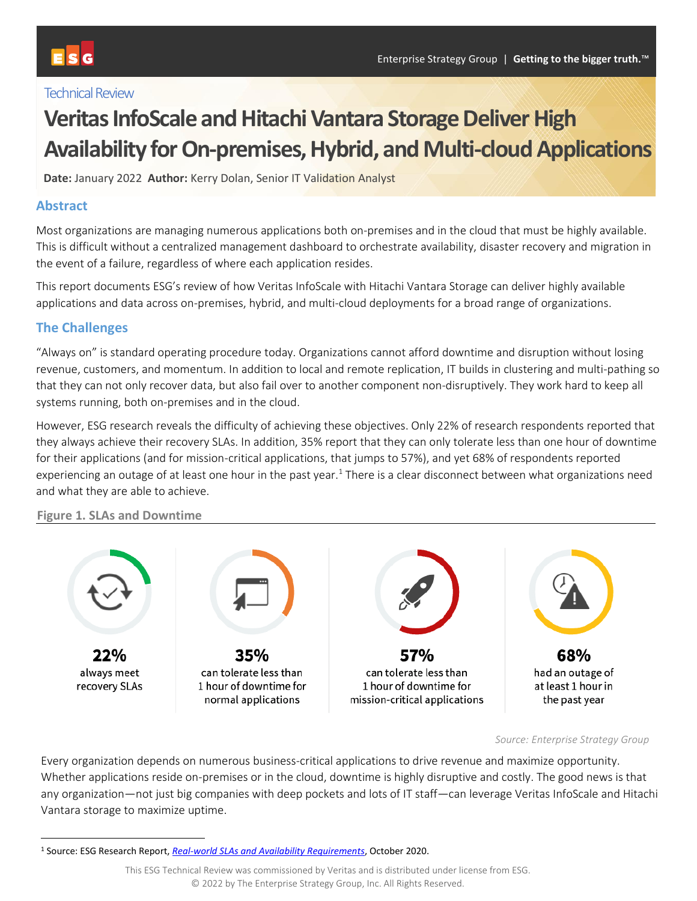#### **Technical Review**

# **Veritas InfoScale and Hitachi Vantara Storage Deliver High Availability for On-premises, Hybrid, and Multi-cloud Applications**

**Date:** January 2022 **Author:** Kerry Dolan, Senior IT Validation Analyst

#### **Abstract**

Most organizations are managing numerous applications both on-premises and in the cloud that must be highly available. This is difficult without a centralized management dashboard to orchestrate availability, disaster recovery and migration in the event of a failure, regardless of where each application resides.

This report documents ESG's review of how Veritas InfoScale with Hitachi Vantara Storage can deliver highly available applications and data across on-premises, hybrid, and multi-cloud deployments for a broad range of organizations.

#### **The Challenges**

"Always on" is standard operating procedure today. Organizations cannot afford downtime and disruption without losing revenue, customers, and momentum. In addition to local and remote replication, IT builds in clustering and multi-pathing so that they can not only recover data, but also fail over to another component non-disruptively. They work hard to keep all systems running, both on-premises and in the cloud.

However, ESG research reveals the difficulty of achieving these objectives. Only 22% of research respondents reported that they always achieve their recovery SLAs. In addition, 35% report that they can only tolerate less than one hour of downtime for their applications (and for mission-critical applications, that jumps to 57%), and yet 68% of respondents reported experiencing an outage of at least one hour in the past year. $1$  There is a clear disconnect between what organizations need and what they are able to achieve.

#### **Figure 1. SLAs and Downtime**



#### *Source: Enterprise Strategy Group*

Every organization depends on numerous business-critical applications to drive revenue and maximize opportunity. Whether applications reside on-premises or in the cloud, downtime is highly disruptive and costly. The good news is that any organization—not just big companies with deep pockets and lots of IT staff—can leverage Veritas InfoScale and Hitachi Vantara storage to maximize uptime.

<sup>1</sup> Source: ESG Research Report, *[Real-world SLAs and Availability Requirements](https://research.esg-global.com/reportaction/Real-worldSLAsandAvailabilityRequirements/Toc)*, October 2020.

This ESG Technical Review was commissioned by Veritas and is distributed under license from ESG. © 2022 by The Enterprise Strategy Group, Inc. All Rights Reserved.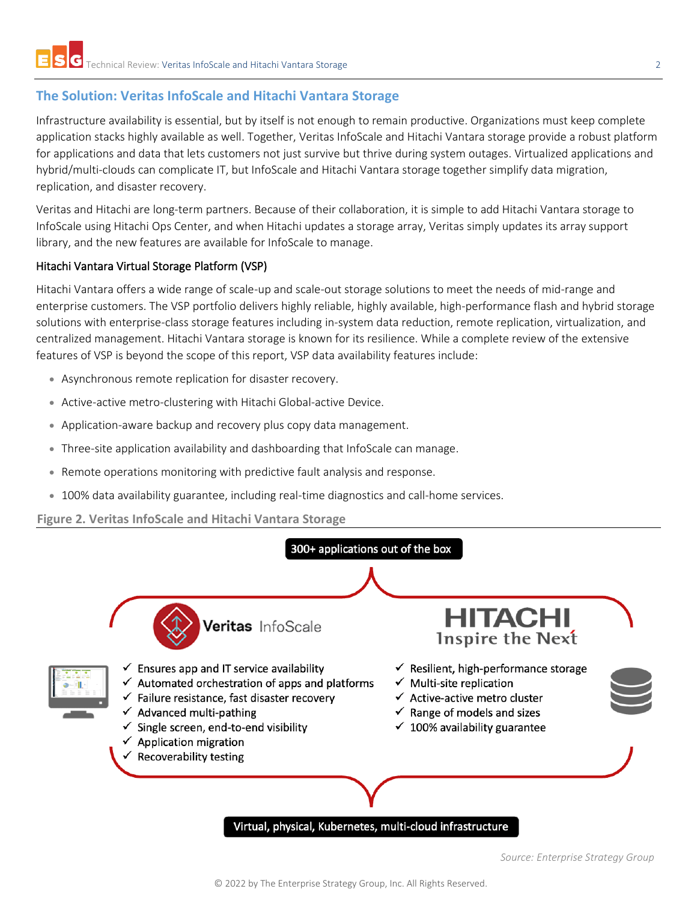### **The Solution: Veritas InfoScale and Hitachi Vantara Storage**

Infrastructure availability is essential, but by itself is not enough to remain productive. Organizations must keep complete application stacks highly available as well. Together, Veritas InfoScale and Hitachi Vantara storage provide a robust platform for applications and data that lets customers not just survive but thrive during system outages. Virtualized applications and hybrid/multi-clouds can complicate IT, but InfoScale and Hitachi Vantara storage together simplify data migration, replication, and disaster recovery.

Veritas and Hitachi are long-term partners. Because of their collaboration, it is simple to add Hitachi Vantara storage to InfoScale using Hitachi Ops Center, and when Hitachi updates a storage array, Veritas simply updates its array support library, and the new features are available for InfoScale to manage.

#### Hitachi Vantara Virtual Storage Platform (VSP)

Hitachi Vantara offers a wide range of scale-up and scale-out storage solutions to meet the needs of mid-range and enterprise customers. The VSP portfolio delivers highly reliable, highly available, high-performance flash and hybrid storage solutions with enterprise-class storage features including in-system data reduction, remote replication, virtualization, and centralized management. Hitachi Vantara storage is known for its resilience. While a complete review of the extensive features of VSP is beyond the scope of this report, VSP data availability features include:

- Asynchronous remote replication for disaster recovery.
- Active-active metro-clustering with Hitachi Global-active Device.
- Application-aware backup and recovery plus copy data management.
- Three-site application availability and dashboarding that InfoScale can manage.
- Remote operations monitoring with predictive fault analysis and response.
- 100% data availability guarantee, including real-time diagnostics and call-home services.

**Figure 2. Veritas InfoScale and Hitachi Vantara Storage**



Virtual, physical, Kubernetes, multi-cloud infrastructure

*Source: Enterprise Strategy Group*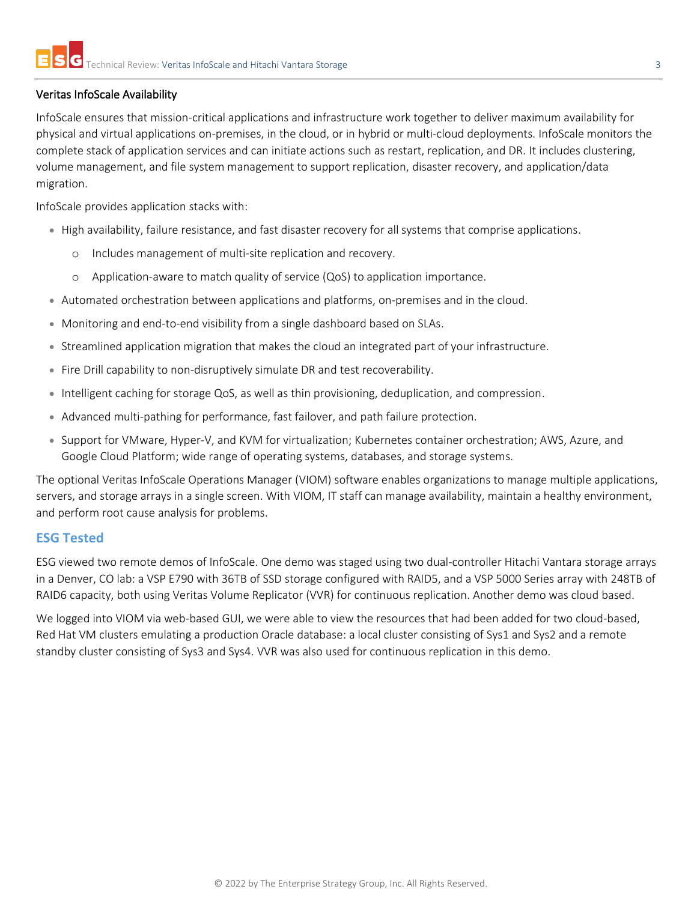#### Veritas InfoScale Availability

InfoScale ensures that mission-critical applications and infrastructure work together to deliver maximum availability for physical and virtual applications on-premises, in the cloud, or in hybrid or multi-cloud deployments. InfoScale monitors the complete stack of application services and can initiate actions such as restart, replication, and DR. It includes clustering, volume management, and file system management to support replication, disaster recovery, and application/data migration.

InfoScale provides application stacks with:

- High availability, failure resistance, and fast disaster recovery for all systems that comprise applications.
	- o Includes management of multi-site replication and recovery.
	- o Application-aware to match quality of service (QoS) to application importance.
- Automated orchestration between applications and platforms, on-premises and in the cloud.
- Monitoring and end-to-end visibility from a single dashboard based on SLAs.
- Streamlined application migration that makes the cloud an integrated part of your infrastructure.
- Fire Drill capability to non-disruptively simulate DR and test recoverability.
- Intelligent caching for storage QoS, as well as thin provisioning, deduplication, and compression.
- Advanced multi-pathing for performance, fast failover, and path failure protection.
- Support for VMware, Hyper-V, and KVM for virtualization; Kubernetes container orchestration; AWS, Azure, and Google Cloud Platform; wide range of operating systems, databases, and storage systems.

The optional Veritas InfoScale Operations Manager (VIOM) software enables organizations to manage multiple applications, servers, and storage arrays in a single screen. With VIOM, IT staff can manage availability, maintain a healthy environment, and perform root cause analysis for problems.

#### **ESG Tested**

ESG viewed two remote demos of InfoScale. One demo was staged using two dual-controller Hitachi Vantara storage arrays in a Denver, CO lab: a VSP E790 with 36TB of SSD storage configured with RAID5, and a VSP 5000 Series array with 248TB of RAID6 capacity, both using Veritas Volume Replicator (VVR) for continuous replication. Another demo was cloud based.

We logged into VIOM via web-based GUI, we were able to view the resources that had been added for two cloud-based, Red Hat VM clusters emulating a production Oracle database: a local cluster consisting of Sys1 and Sys2 and a remote standby cluster consisting of Sys3 and Sys4. VVR was also used for continuous replication in this demo.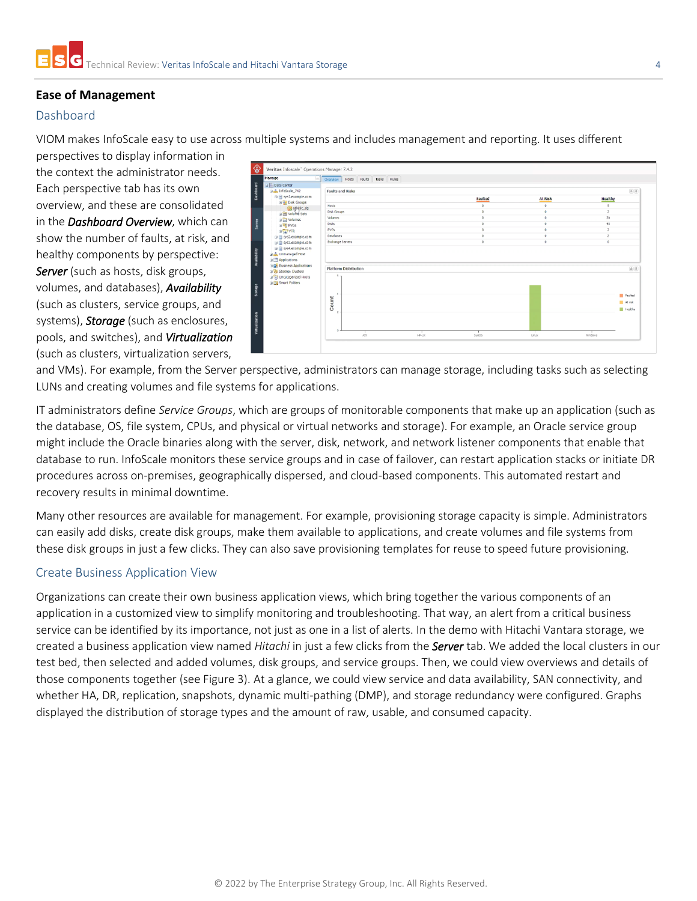#### **Ease of Management**

#### Dashboard

VIOM makes InfoScale easy to use across multiple systems and includes management and reporting. It uses different

perspectives to display information in the context the administrator needs. Each perspective tab has its own overview, and these are consolidated in the *Dashboard Overview*, which can show the number of faults, at risk, and healthy components by perspective: *Server* (such as hosts, disk groups, volumes, and databases), *Availability* (such as clusters, service groups, and systems), *Storage* (such as enclosures, pools, and switches), and *Virtualization* (such as clusters, virtualization servers,



and VMs). For example, from the Server perspective, administrators can manage storage, including tasks such as selecting LUNs and creating volumes and file systems for applications.

IT administrators define *Service Groups*, which are groups of monitorable components that make up an application (such as the database, OS, file system, CPUs, and physical or virtual networks and storage). For example, an Oracle service group might include the Oracle binaries along with the server, disk, network, and network listener components that enable that database to run. InfoScale monitors these service groups and in case of failover, can restart application stacks or initiate DR procedures across on-premises, geographically dispersed, and cloud-based components. This automated restart and recovery results in minimal downtime.

Many other resources are available for management. For example, provisioning storage capacity is simple. Administrators can easily add disks, create disk groups, make them available to applications, and create volumes and file systems from these disk groups in just a few clicks. They can also save provisioning templates for reuse to speed future provisioning.

#### Create Business Application View

Organizations can create their own business application views, which bring together the various components of an application in a customized view to simplify monitoring and troubleshooting. That way, an alert from a critical business service can be identified by its importance, not just as one in a list of alerts. In the demo with Hitachi Vantara storage, we created a business application view named *Hitachi* in just a few clicks from the *Server* tab. We added the local clusters in our test bed, then selected and added volumes, disk groups, and service groups. Then, we could view overviews and details of those components together (see Figure 3). At a glance, we could view service and data availability, SAN connectivity, and whether HA, DR, replication, snapshots, dynamic multi-pathing (DMP), and storage redundancy were configured. Graphs displayed the distribution of storage types and the amount of raw, usable, and consumed capacity.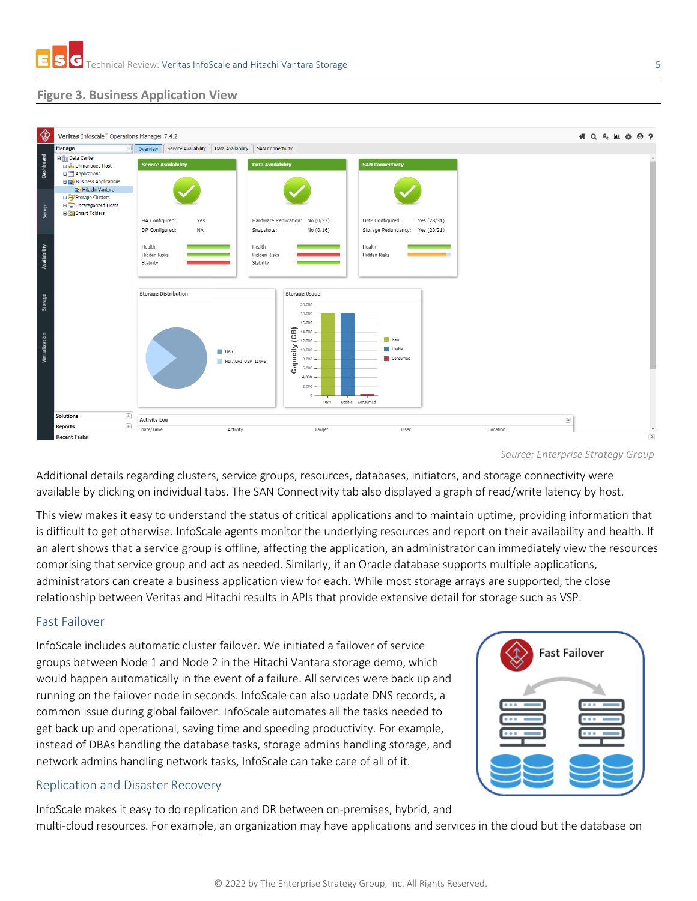#### **Figure 3. Business Application View**



*Source: Enterprise Strategy Group*

Additional details regarding clusters, service groups, resources, databases, initiators, and storage connectivity were available by clicking on individual tabs. The SAN Connectivity tab also displayed a graph of read/write latency by host.

This view makes it easy to understand the status of critical applications and to maintain uptime, providing information that is difficult to get otherwise. InfoScale agents monitor the underlying resources and report on their availability and health. If an alert shows that a service group is offline, affecting the application, an administrator can immediately view the resources comprising that service group and act as needed. Similarly, if an Oracle database supports multiple applications, administrators can create a business application view for each. While most storage arrays are supported, the close relationship between Veritas and Hitachi results in APIs that provide extensive detail for storage such as VSP.

#### Fast Failover

InfoScale includes automatic cluster failover. We initiated a failover of service groups between Node 1 and Node 2 in the Hitachi Vantara storage demo, which would happen automatically in the event of a failure. All services were back up and running on the failover node in seconds. InfoScale can also update DNS records, a common issue during global failover. InfoScale automates all the tasks needed to get back up and operational, saving time and speeding productivity. For example, instead of DBAs handling the database tasks, storage admins handling storage, and network admins handling network tasks, InfoScale can take care of all of it.

#### Replication and Disaster Recovery

InfoScale makes it easy to do replication and DR between on-premises, hybrid, and

multi-cloud resources. For example, an organization may have applications and services in the cloud but the database on

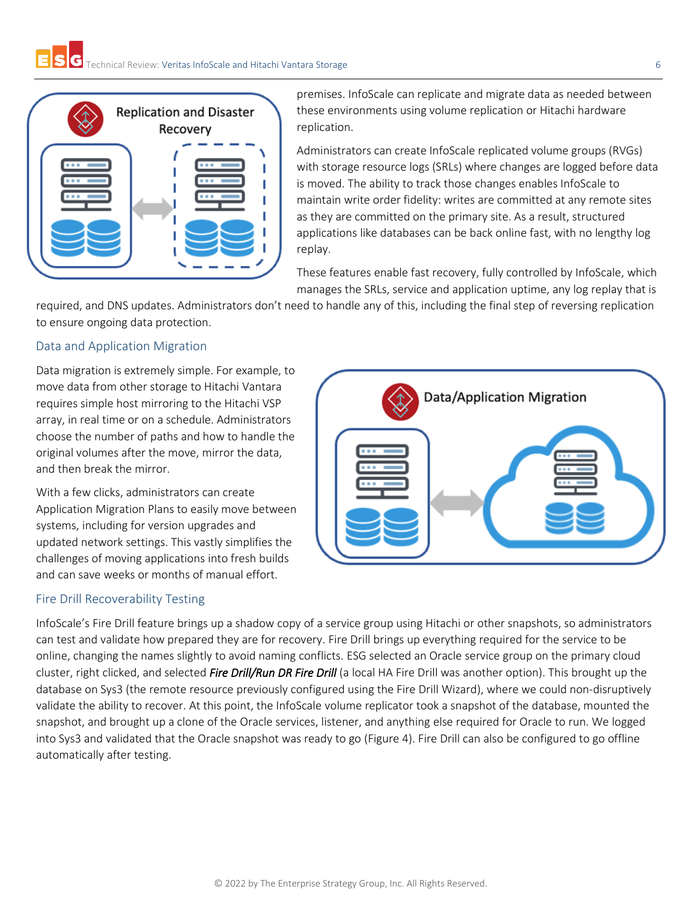

premises. InfoScale can replicate and migrate data as needed between these environments using volume replication or Hitachi hardware replication.

Administrators can create InfoScale replicated volume groups (RVGs) with storage resource logs (SRLs) where changes are logged before data is moved. The ability to track those changes enables InfoScale to maintain write order fidelity: writes are committed at any remote sites as they are committed on the primary site. As a result, structured applications like databases can be back online fast, with no lengthy log replay.

These features enable fast recovery, fully controlled by InfoScale, which manages the SRLs, service and application uptime, any log replay that is

required, and DNS updates. Administrators don't need to handle any of this, including the final step of reversing replication to ensure ongoing data protection.

#### Data and Application Migration

Data migration is extremely simple. For example, to move data from other storage to Hitachi Vantara requires simple host mirroring to the Hitachi VSP array, in real time or on a schedule. Administrators choose the number of paths and how to handle the original volumes after the move, mirror the data, and then break the mirror.

With a few clicks, administrators can create Application Migration Plans to easily move between systems, including for version upgrades and updated network settings. This vastly simplifies the challenges of moving applications into fresh builds and can save weeks or months of manual effort.

#### Fire Drill Recoverability Testing



InfoScale's Fire Drill feature brings up a shadow copy of a service group using Hitachi or other snapshots, so administrators can test and validate how prepared they are for recovery. Fire Drill brings up everything required for the service to be online, changing the names slightly to avoid naming conflicts. ESG selected an Oracle service group on the primary cloud cluster, right clicked, and selected *Fire Drill/Run DR Fire Drill* (a local HA Fire Drill was another option). This brought up the database on Sys3 (the remote resource previously configured using the Fire Drill Wizard), where we could non-disruptively validate the ability to recover. At this point, the InfoScale volume replicator took a snapshot of the database, mounted the snapshot, and brought up a clone of the Oracle services, listener, and anything else required for Oracle to run. We logged into Sys3 and validated that the Oracle snapshot was ready to go (Figure 4). Fire Drill can also be configured to go offline automatically after testing.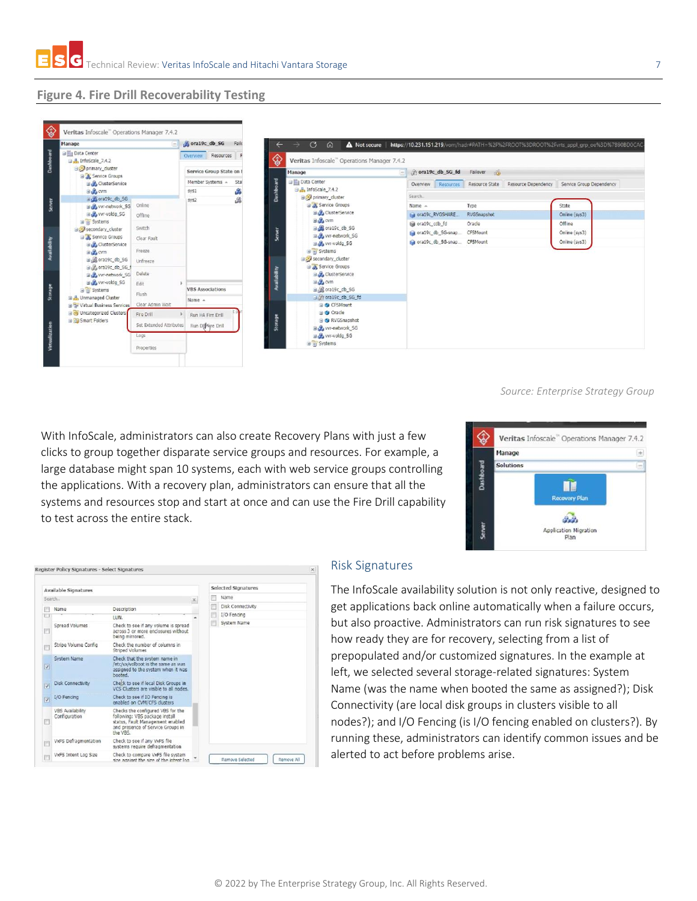#### **Figure 4. Fire Drill Recoverability Testing**



#### *Source: Enterprise Strategy Group*

With InfoScale, administrators can also create Recovery Plans with just a few clicks to group together disparate service groups and resources. For example, a Manage Dashboard Solutions large database might span 10 systems, each with web service groups controlling the applications. With a recovery plan, administrators can ensure that all the systems and resources stop and start at once and can use the Fire Drill capability to test across the entire stack.



|                             | Register Policy Signatures - Select Signatures |                                                                                                                                                          |                         |                     |                            | $\times$   |
|-----------------------------|------------------------------------------------|----------------------------------------------------------------------------------------------------------------------------------------------------------|-------------------------|---------------------|----------------------------|------------|
| <b>Available Signatures</b> |                                                |                                                                                                                                                          |                         | Selected Signatures |                            |            |
| Search                      |                                                |                                                                                                                                                          | $\overline{\mathbf{x}}$ |                     | Name                       |            |
|                             | Name                                           | Description                                                                                                                                              |                         | 叵                   | Disk Connectivity          |            |
|                             |                                                | LUN.                                                                                                                                                     |                         |                     | I/O Fencing<br>System Name |            |
|                             | Spread Volumes                                 | Check to see if any volume is spread<br>across 3 or more enclosures without<br>being mirrored.                                                           |                         |                     |                            |            |
|                             | Stripe Volume Config                           | Check the number of columns in<br><b>Striped Volumes</b>                                                                                                 |                         |                     |                            |            |
| $\overline{\mathbf{v}}$     | System Name                                    | Check that the system name in<br>/etc/vx/volboot is the same as was<br>assigned to the system when it was<br>hooted.                                     |                         |                     |                            |            |
| IV)                         | <b>Disk Connectivity</b>                       | Check to see if local Disk Groups in<br>VCS Clusters are visible to all nodes.                                                                           |                         |                     |                            |            |
| Ϊÿ                          | I/O Fencing                                    | Check to see if IO Fencing is<br>enabled on CVM/CFS clusters                                                                                             |                         |                     |                            |            |
|                             | <b>VBS Availability</b><br>Configuration       | Checks the configured VBS for the<br>following: VBS package install<br>status, Fault Management enabled<br>and presence of Service Groups in<br>the VRS. |                         |                     |                            |            |
|                             | VxFS Defragmentation                           | Check to see if any VxFS file<br>systems require defragmentation                                                                                         |                         |                     |                            |            |
|                             | VxFS Intent Log Size                           | Check to compare VxFS file system<br>size against the size of the intent log.                                                                            |                         |                     | Remove Selected            | Remove All |

#### Risk Signatures

The InfoScale availability solution is not only reactive, designed to get applications back online automatically when a failure occurs, but also proactive. Administrators can run risk signatures to see how ready they are for recovery, selecting from a list of prepopulated and/or customized signatures. In the example at left, we selected several storage-related signatures: System Name (was the name when booted the same as assigned?); Disk Connectivity (are local disk groups in clusters visible to all nodes?); and I/O Fencing (is I/O fencing enabled on clusters?). By running these, administrators can identify common issues and be alerted to act before problems arise.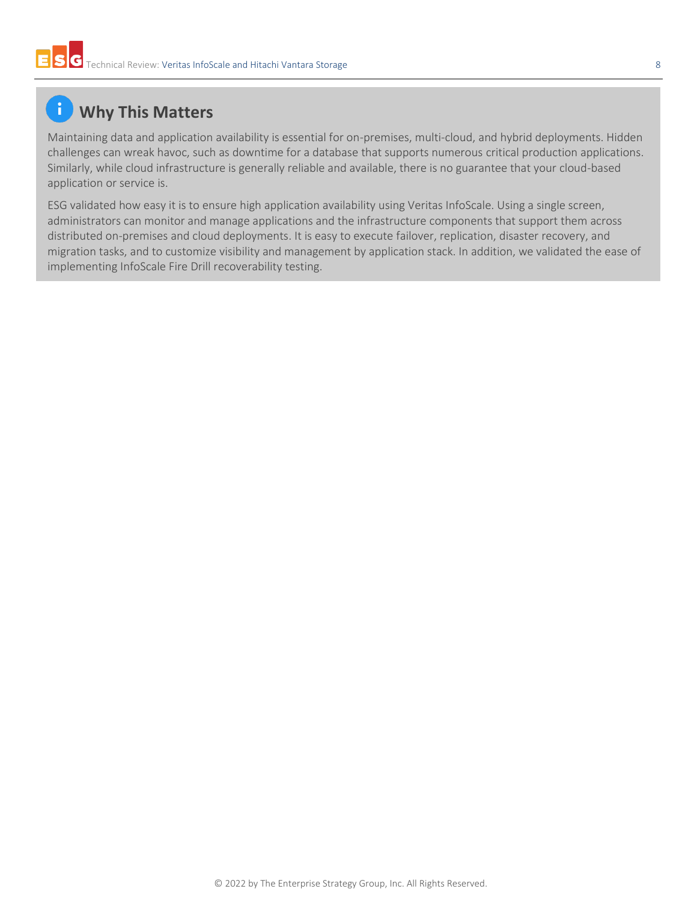## **Why This Matters**

Maintaining data and application availability is essential for on-premises, multi-cloud, and hybrid deployments. Hidden challenges can wreak havoc, such as downtime for a database that supports numerous critical production applications. Similarly, while cloud infrastructure is generally reliable and available, there is no guarantee that your cloud-based application or service is.

ESG validated how easy it is to ensure high application availability using Veritas InfoScale. Using a single screen, administrators can monitor and manage applications and the infrastructure components that support them across distributed on-premises and cloud deployments. It is easy to execute failover, replication, disaster recovery, and migration tasks, and to customize visibility and management by application stack. In addition, we validated the ease of implementing InfoScale Fire Drill recoverability testing.